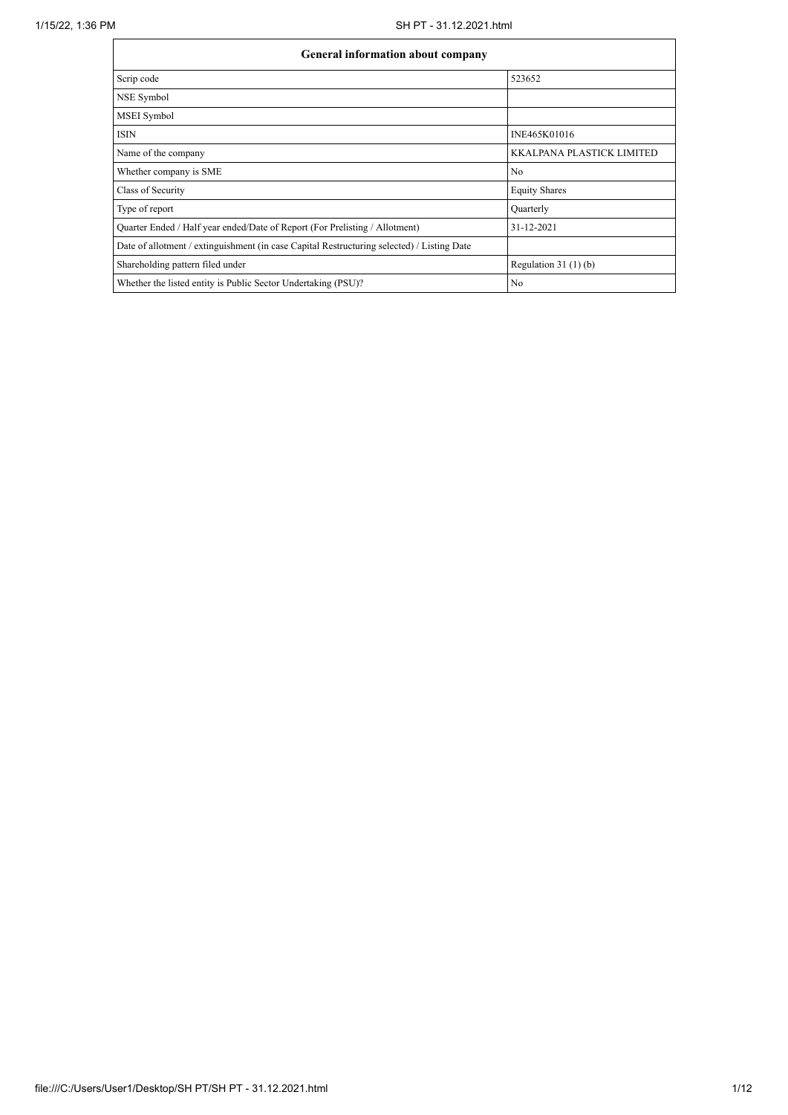| <b>General information about company</b>                                                   |                                  |
|--------------------------------------------------------------------------------------------|----------------------------------|
| Scrip code                                                                                 | 523652                           |
| NSE Symbol                                                                                 |                                  |
| MSEI Symbol                                                                                |                                  |
| <b>ISIN</b>                                                                                | INE465K01016                     |
| Name of the company                                                                        | <b>KKALPANA PLASTICK LIMITED</b> |
| Whether company is SME                                                                     | N <sub>0</sub>                   |
| Class of Security                                                                          | <b>Equity Shares</b>             |
| Type of report                                                                             | Quarterly                        |
| Quarter Ended / Half year ended/Date of Report (For Prelisting / Allotment)                | 31-12-2021                       |
| Date of allotment / extinguishment (in case Capital Restructuring selected) / Listing Date |                                  |
| Shareholding pattern filed under                                                           | Regulation $31(1)(b)$            |
| Whether the listed entity is Public Sector Undertaking (PSU)?                              | N <sub>o</sub>                   |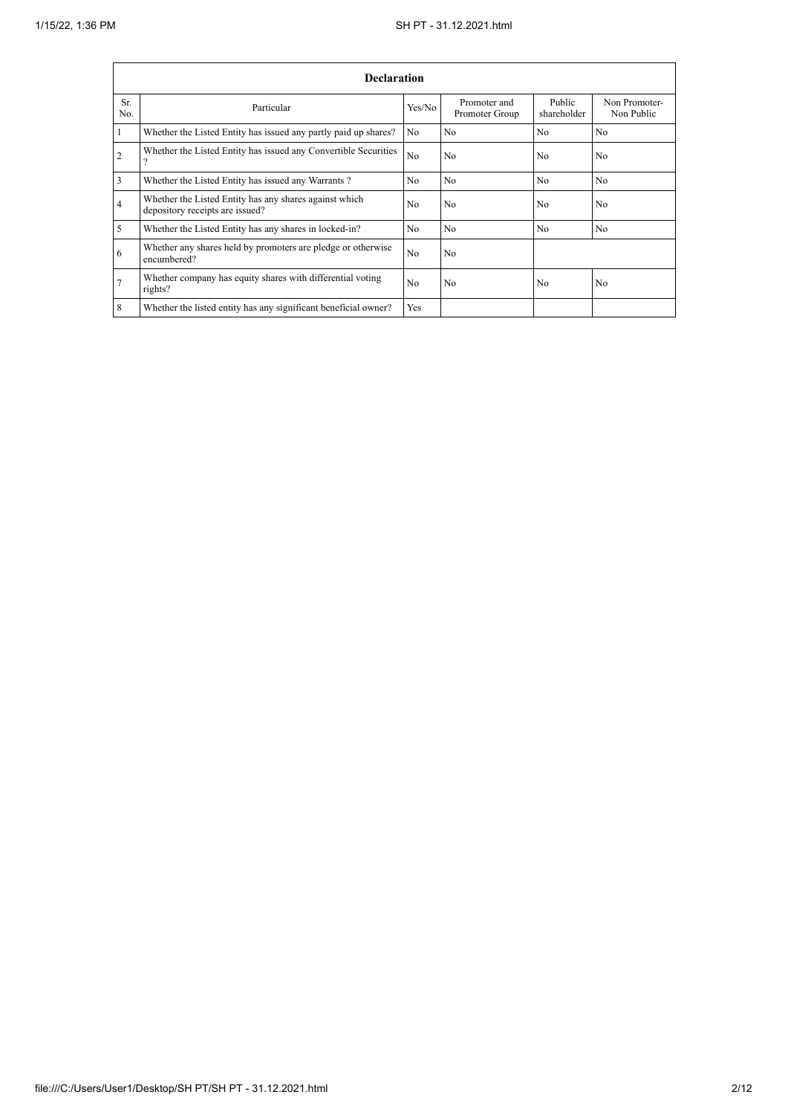|                | <b>Declaration</b>                                                                        |                |                                |                       |                             |  |  |  |  |  |  |  |  |
|----------------|-------------------------------------------------------------------------------------------|----------------|--------------------------------|-----------------------|-----------------------------|--|--|--|--|--|--|--|--|
| Sr.<br>No.     | Particular                                                                                | Yes/No         | Promoter and<br>Promoter Group | Public<br>shareholder | Non Promoter-<br>Non Public |  |  |  |  |  |  |  |  |
|                | Whether the Listed Entity has issued any partly paid up shares?                           | N <sub>o</sub> | N <sub>o</sub>                 | No                    | N <sub>o</sub>              |  |  |  |  |  |  |  |  |
| $\overline{2}$ | Whether the Listed Entity has issued any Convertible Securities                           | N <sub>0</sub> | N <sub>o</sub>                 | N <sub>0</sub>        | N <sub>0</sub>              |  |  |  |  |  |  |  |  |
| 3              | Whether the Listed Entity has issued any Warrants?                                        | N <sub>o</sub> | N <sub>o</sub>                 | N <sub>o</sub>        | N <sub>o</sub>              |  |  |  |  |  |  |  |  |
| $\overline{4}$ | Whether the Listed Entity has any shares against which<br>depository receipts are issued? | N <sub>0</sub> | N <sub>o</sub>                 | N <sub>0</sub>        | N <sub>0</sub>              |  |  |  |  |  |  |  |  |
| 5              | Whether the Listed Entity has any shares in locked-in?                                    | N <sub>o</sub> | N <sub>o</sub>                 | N <sub>0</sub>        | N <sub>o</sub>              |  |  |  |  |  |  |  |  |
| 6              | Whether any shares held by promoters are pledge or otherwise<br>encumbered?               | N <sub>0</sub> | N <sub>o</sub>                 |                       |                             |  |  |  |  |  |  |  |  |
|                | Whether company has equity shares with differential voting<br>rights?                     | N <sub>0</sub> | N <sub>o</sub>                 | N <sub>0</sub>        | N <sub>0</sub>              |  |  |  |  |  |  |  |  |
| 8              | Whether the listed entity has any significant beneficial owner?                           | Yes            |                                |                       |                             |  |  |  |  |  |  |  |  |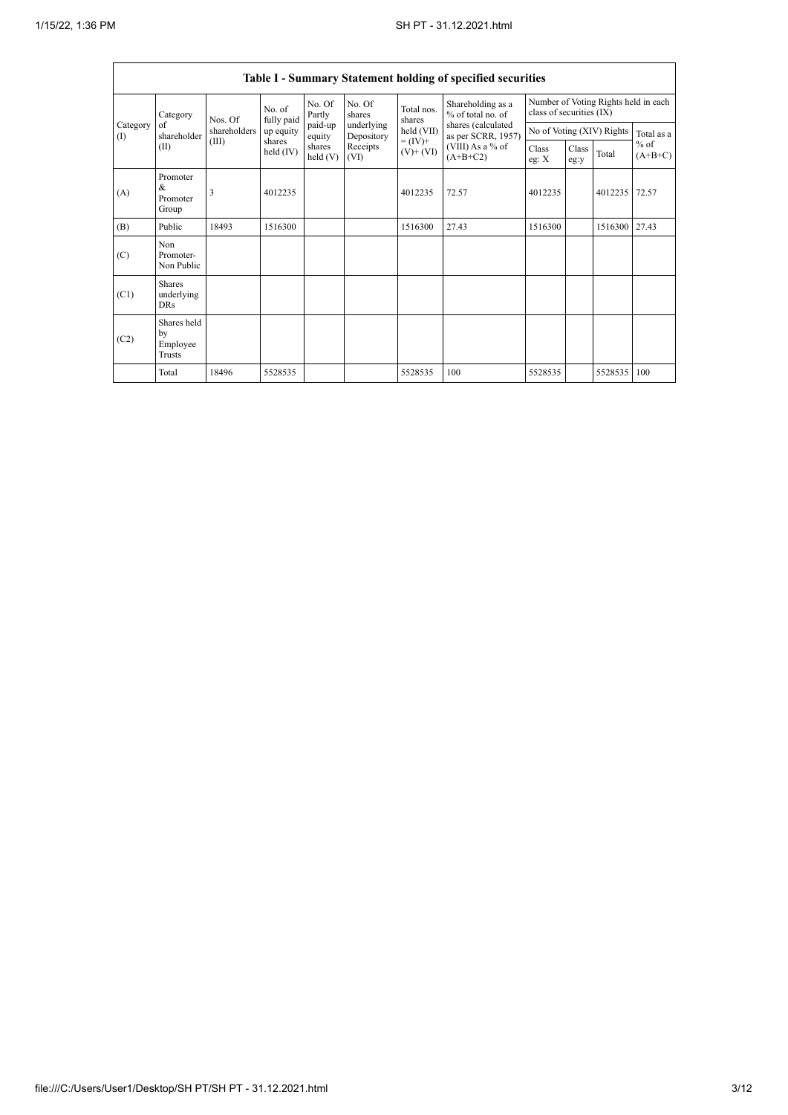|                 | Table I - Summary Statement holding of specified securities |              |                       |                      |                          |                              |                                          |                                                                  |               |                           |                                   |  |  |
|-----------------|-------------------------------------------------------------|--------------|-----------------------|----------------------|--------------------------|------------------------------|------------------------------------------|------------------------------------------------------------------|---------------|---------------------------|-----------------------------------|--|--|
|                 | Category<br>of<br>shareholder<br>(II)                       | Nos. Of      | No. of<br>fully paid  | No. Of<br>Partly     | No. Of<br>shares         | Total nos.<br>shares         | Shareholding as a<br>% of total no. of   | Number of Voting Rights held in each<br>class of securities (IX) |               |                           |                                   |  |  |
| Category<br>(1) |                                                             | shareholders | up equity             | paid-up<br>equity    | underlying<br>Depository | held (VII)                   | shares (calculated<br>as per SCRR, 1957) |                                                                  |               | No of Voting (XIV) Rights | Total as a<br>$%$ of<br>$(A+B+C)$ |  |  |
|                 |                                                             | (III)        | shares<br>held $(IV)$ | shares<br>held $(V)$ | Receipts<br>(VI)         | $= (IV) +$<br>$(V)$ + $(VI)$ | (VIII) As a % of<br>$(A+B+C2)$           | Class<br>eg: X                                                   | Class<br>eg:y | Total                     |                                   |  |  |
| (A)             | Promoter<br>&<br>Promoter<br>Group                          | 3            | 4012235               |                      |                          | 4012235                      | 72.57                                    | 4012235                                                          |               | 4012235                   | 72.57                             |  |  |
| (B)             | Public                                                      | 18493        | 1516300               |                      |                          | 1516300                      | 27.43                                    | 1516300                                                          |               | 1516300                   | 27.43                             |  |  |
| (C)             | Non.<br>Promoter-<br>Non Public                             |              |                       |                      |                          |                              |                                          |                                                                  |               |                           |                                   |  |  |
| (C1)            | <b>Shares</b><br>underlying<br><b>DRs</b>                   |              |                       |                      |                          |                              |                                          |                                                                  |               |                           |                                   |  |  |
| (C2)            | Shares held<br>by<br>Employee<br>Trusts                     |              |                       |                      |                          |                              |                                          |                                                                  |               |                           |                                   |  |  |
|                 | Total                                                       | 18496        | 5528535               |                      |                          | 5528535                      | 100                                      | 5528535                                                          |               | 5528535                   | 100                               |  |  |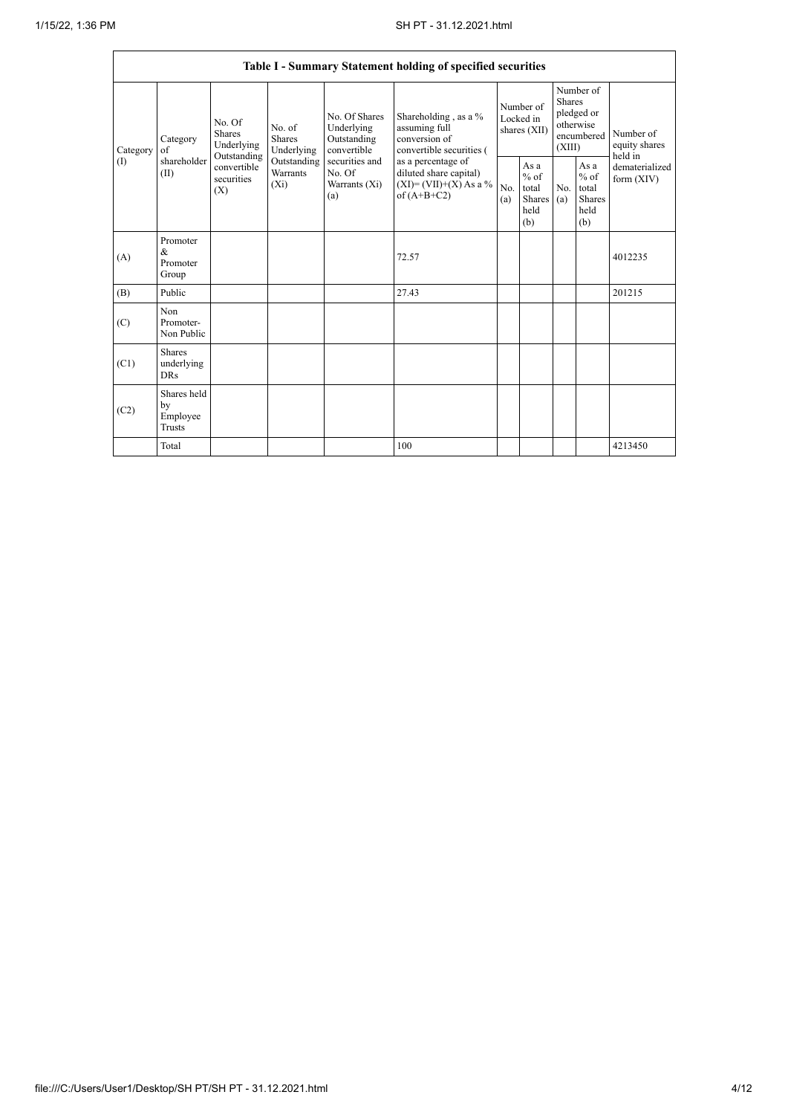| Table I - Summary Statement holding of specified securities |                                                |                                                                                          |                                                                      |                                                                                                               |                                                                                          |                                        |                                                  |                                                                               |                                                  |                                       |  |  |
|-------------------------------------------------------------|------------------------------------------------|------------------------------------------------------------------------------------------|----------------------------------------------------------------------|---------------------------------------------------------------------------------------------------------------|------------------------------------------------------------------------------------------|----------------------------------------|--------------------------------------------------|-------------------------------------------------------------------------------|--------------------------------------------------|---------------------------------------|--|--|
| Category<br>(1)                                             | Category<br>of<br>shareholder<br>(II)          | No. Of<br><b>Shares</b><br>Underlying<br>Outstanding<br>convertible<br>securities<br>(X) | No. of<br>Shares<br>Underlying<br>Outstanding<br>Warrants<br>$(X_i)$ | No. Of Shares<br>Underlying<br>Outstanding<br>convertible<br>securities and<br>No. Of<br>Warrants (Xi)<br>(a) | Shareholding , as a $\%$<br>assuming full<br>conversion of<br>convertible securities (   | Number of<br>Locked in<br>shares (XII) |                                                  | Number of<br><b>Shares</b><br>pledged or<br>otherwise<br>encumbered<br>(XIII) |                                                  | Number of<br>equity shares<br>held in |  |  |
|                                                             |                                                |                                                                                          |                                                                      |                                                                                                               | as a percentage of<br>diluted share capital)<br>$(XI)=(VII)+(X)$ As a %<br>of $(A+B+C2)$ | No.<br>(a)                             | As a<br>$%$ of<br>total<br>Shares<br>held<br>(b) | No.<br>(a)                                                                    | As a<br>$%$ of<br>total<br>Shares<br>held<br>(b) | dematerialized<br>form $(XIV)$        |  |  |
| (A)                                                         | Promoter<br>&<br>Promoter<br>Group             |                                                                                          |                                                                      |                                                                                                               | 72.57                                                                                    |                                        |                                                  |                                                                               |                                                  | 4012235                               |  |  |
| (B)                                                         | Public                                         |                                                                                          |                                                                      |                                                                                                               | 27.43                                                                                    |                                        |                                                  |                                                                               |                                                  | 201215                                |  |  |
| (C)                                                         | Non<br>Promoter-<br>Non Public                 |                                                                                          |                                                                      |                                                                                                               |                                                                                          |                                        |                                                  |                                                                               |                                                  |                                       |  |  |
| (C1)                                                        | <b>Shares</b><br>underlying<br><b>DRs</b>      |                                                                                          |                                                                      |                                                                                                               |                                                                                          |                                        |                                                  |                                                                               |                                                  |                                       |  |  |
| (C2)                                                        | Shares held<br>by<br>Employee<br><b>Trusts</b> |                                                                                          |                                                                      |                                                                                                               |                                                                                          |                                        |                                                  |                                                                               |                                                  |                                       |  |  |
|                                                             | Total                                          |                                                                                          |                                                                      |                                                                                                               | 100                                                                                      |                                        |                                                  |                                                                               |                                                  | 4213450                               |  |  |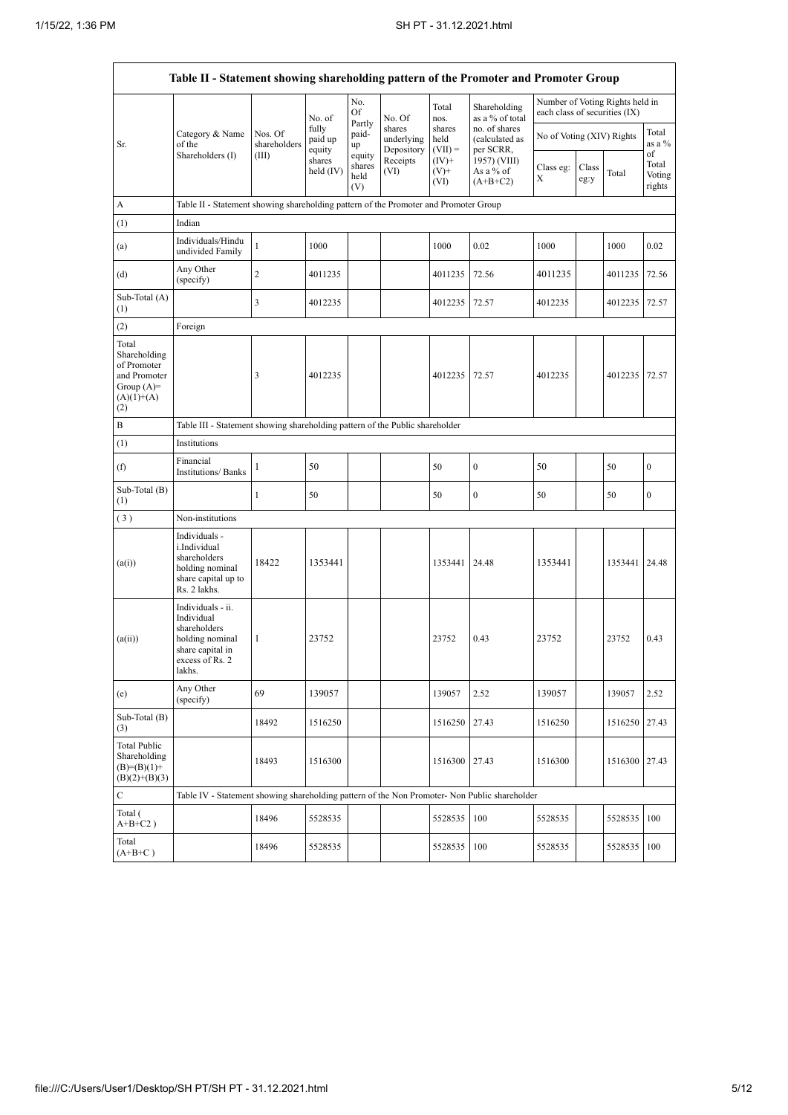r

|                                                                                             | Table II - Statement showing shareholding pattern of the Promoter and Promoter Group                                  |                                                                              |                            |                                 |                                    |                             |                                              |                               |               |                                 |                                 |  |  |
|---------------------------------------------------------------------------------------------|-----------------------------------------------------------------------------------------------------------------------|------------------------------------------------------------------------------|----------------------------|---------------------------------|------------------------------------|-----------------------------|----------------------------------------------|-------------------------------|---------------|---------------------------------|---------------------------------|--|--|
|                                                                                             |                                                                                                                       |                                                                              | No. of                     | No.<br>Of                       | No. Of                             | Total<br>nos.               | Shareholding<br>as a % of total              | each class of securities (IX) |               | Number of Voting Rights held in |                                 |  |  |
| Sr.                                                                                         | Category & Name<br>of the                                                                                             | Nos. Of<br>shareholders                                                      | fully<br>paid up<br>equity | Partly<br>paid-<br>up           | shares<br>underlying<br>Depository | shares<br>held<br>$(VII) =$ | no. of shares<br>(calculated as<br>per SCRR, | No of Voting (XIV) Rights     |               |                                 | Total<br>as a %                 |  |  |
|                                                                                             | Shareholders (I)                                                                                                      | (III)                                                                        | shares<br>held (IV)        | equity<br>shares<br>held<br>(V) | Receipts<br>(VI)                   | $(IV)^+$<br>$(V)$ +<br>(VI) | 1957) (VIII)<br>As a % of<br>$(A+B+C2)$      | Class eg:<br>Х                | Class<br>eg:y | Total                           | of<br>Total<br>Voting<br>rights |  |  |
| А                                                                                           | Table II - Statement showing shareholding pattern of the Promoter and Promoter Group                                  |                                                                              |                            |                                 |                                    |                             |                                              |                               |               |                                 |                                 |  |  |
| (1)                                                                                         | Indian                                                                                                                |                                                                              |                            |                                 |                                    |                             |                                              |                               |               |                                 |                                 |  |  |
| (a)                                                                                         | Individuals/Hindu<br>undivided Family                                                                                 | $\,1$                                                                        | 1000                       |                                 |                                    | 1000                        | 0.02                                         | 1000                          |               | 1000                            | 0.02                            |  |  |
| (d)                                                                                         | Any Other<br>(specify)                                                                                                | $\overline{c}$                                                               | 4011235                    |                                 |                                    | 4011235                     | 72.56                                        | 4011235                       |               | 4011235                         | 72.56                           |  |  |
| Sub-Total (A)<br>(1)                                                                        |                                                                                                                       | 3                                                                            | 4012235                    |                                 |                                    | 4012235                     | 72.57                                        | 4012235                       |               | 4012235                         | 72.57                           |  |  |
| (2)                                                                                         | Foreign                                                                                                               |                                                                              |                            |                                 |                                    |                             |                                              |                               |               |                                 |                                 |  |  |
| Total<br>Shareholding<br>of Promoter<br>and Promoter<br>Group $(A)=$<br>$(A)(1)+(A)$<br>(2) |                                                                                                                       | 3                                                                            | 4012235                    |                                 |                                    | 4012235                     | 72.57                                        | 4012235                       |               | 4012235                         | 72.57                           |  |  |
| B                                                                                           |                                                                                                                       | Table III - Statement showing shareholding pattern of the Public shareholder |                            |                                 |                                    |                             |                                              |                               |               |                                 |                                 |  |  |
| (1)                                                                                         | Institutions                                                                                                          |                                                                              |                            |                                 |                                    |                             |                                              |                               |               |                                 |                                 |  |  |
| (f)                                                                                         | Financial<br><b>Institutions/Banks</b>                                                                                | 1                                                                            | 50                         |                                 |                                    | 50                          | $\boldsymbol{0}$                             | 50                            |               | 50                              | 0                               |  |  |
| Sub-Total (B)<br>(1)                                                                        |                                                                                                                       | $\mathbf{1}$                                                                 | 50                         |                                 |                                    | 50                          | $\boldsymbol{0}$                             | 50                            |               | 50                              | $\boldsymbol{0}$                |  |  |
| (3)                                                                                         | Non-institutions                                                                                                      |                                                                              |                            |                                 |                                    |                             |                                              |                               |               |                                 |                                 |  |  |
| (a(i))                                                                                      | Individuals -<br>i.Individual<br>shareholders<br>holding nominal<br>share capital up to<br>Rs. 2 lakhs.               | 18422                                                                        | 1353441                    |                                 |                                    | 1353441                     | 24.48                                        | 1353441                       |               | 1353441                         | 24.48                           |  |  |
| (a(ii))                                                                                     | Individuals - ii.<br>Individual<br>shareholders<br>holding nominal<br>share capital in<br>excess of $Rs. 2$<br>lakhs. | 1                                                                            | 23752                      |                                 |                                    | 23752                       | 0.43                                         | 23752                         |               | 23752                           | 0.43                            |  |  |
| (e)                                                                                         | Any Other<br>(specify)                                                                                                | 69                                                                           | 139057                     |                                 |                                    | 139057                      | 2.52                                         | 139057                        |               | 139057                          | 2.52                            |  |  |
| Sub-Total (B)<br>(3)                                                                        |                                                                                                                       | 18492                                                                        | 1516250                    |                                 |                                    | 1516250                     | 27.43                                        | 1516250                       |               | 1516250                         | 27.43                           |  |  |
| <b>Total Public</b><br>Shareholding<br>$(B)=(B)(1)+$<br>$(B)(2)+(B)(3)$                     |                                                                                                                       | 18493                                                                        | 1516300                    |                                 |                                    | 1516300                     | 27.43                                        | 1516300                       |               | 1516300                         | 27.43                           |  |  |
| $\mathbf C$                                                                                 | Table IV - Statement showing shareholding pattern of the Non Promoter- Non Public shareholder                         |                                                                              |                            |                                 |                                    |                             |                                              |                               |               |                                 |                                 |  |  |
| Total (<br>$A+B+C2$ )                                                                       |                                                                                                                       | 18496                                                                        | 5528535                    |                                 |                                    | 5528535                     | 100                                          | 5528535                       |               | 5528535                         | 100                             |  |  |
| Total<br>$(A+B+C)$                                                                          |                                                                                                                       | 18496                                                                        | 5528535                    |                                 |                                    | 5528535                     | 100                                          | 5528535                       |               | 5528535                         | 100                             |  |  |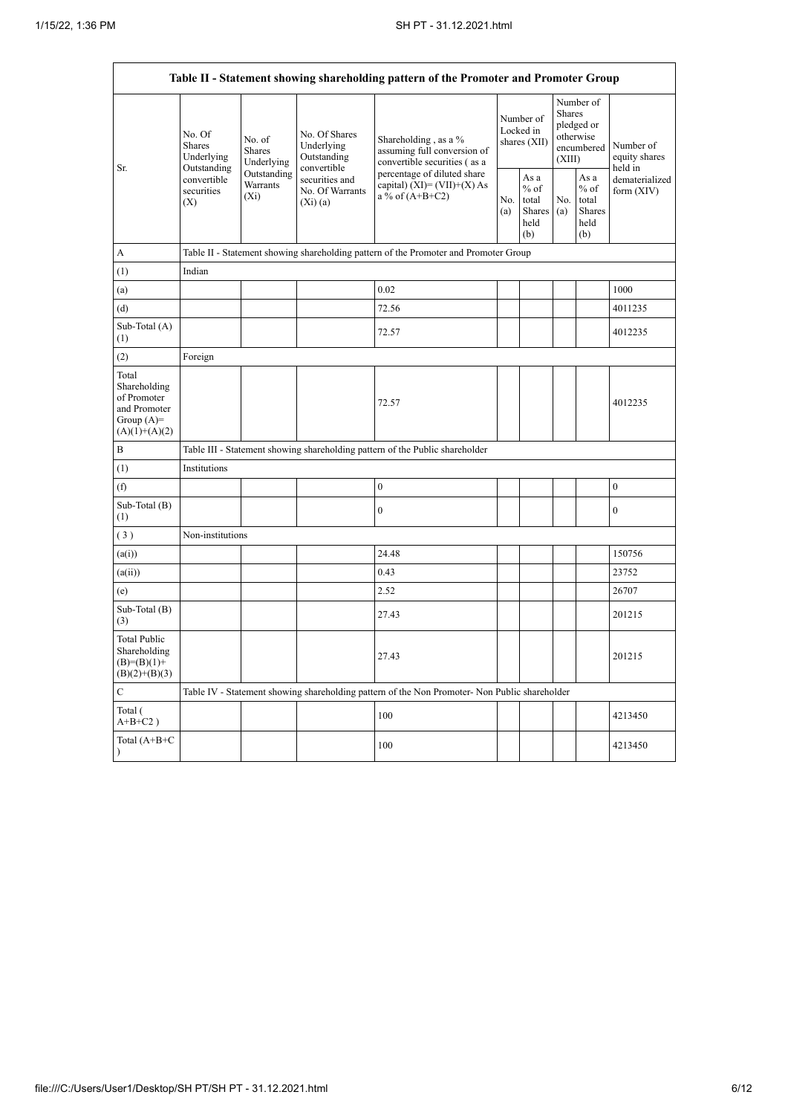$\overline{\phantom{0}}$ 

|                                                                                         |                                                 |                                                                                                      |                                            | Table II - Statement showing shareholding pattern of the Promoter and Promoter Group          |            |                                                  |            |                                                                        |                                       |  |  |  |  |
|-----------------------------------------------------------------------------------------|-------------------------------------------------|------------------------------------------------------------------------------------------------------|--------------------------------------------|-----------------------------------------------------------------------------------------------|------------|--------------------------------------------------|------------|------------------------------------------------------------------------|---------------------------------------|--|--|--|--|
|                                                                                         | No. Of<br><b>Shares</b><br>Underlying           | No. of<br>Shares<br>Underlying                                                                       | No. Of Shares<br>Underlying<br>Outstanding | Shareholding, as a %<br>assuming full conversion of<br>convertible securities (as a           |            | Number of<br>Locked in<br>shares (XII)           |            | Number of<br>Shares<br>pledged or<br>otherwise<br>encumbered<br>(XIII) | Number of<br>equity shares<br>held in |  |  |  |  |
| Sr.                                                                                     | Outstanding<br>convertible<br>securities<br>(X) | convertible<br>Outstanding<br>securities and<br>Warrants<br>No. Of Warrants<br>$(X_i)$<br>$(Xi)$ (a) |                                            | percentage of diluted share<br>capital) $(XI) = (VII)+(X) As$<br>a % of $(A+B+C2)$            | No.<br>(a) | As a<br>$%$ of<br>total<br>Shares<br>held<br>(b) | No.<br>(a) | As a<br>$%$ of<br>total<br><b>Shares</b><br>held<br>(b)                | dematerialized<br>form $(XIV)$        |  |  |  |  |
| A                                                                                       |                                                 |                                                                                                      |                                            | Table II - Statement showing shareholding pattern of the Promoter and Promoter Group          |            |                                                  |            |                                                                        |                                       |  |  |  |  |
| (1)                                                                                     | Indian                                          |                                                                                                      |                                            |                                                                                               |            |                                                  |            |                                                                        |                                       |  |  |  |  |
| (a)                                                                                     |                                                 |                                                                                                      |                                            | 0.02                                                                                          |            |                                                  |            |                                                                        | 1000                                  |  |  |  |  |
| (d)                                                                                     |                                                 |                                                                                                      |                                            | 72.56                                                                                         |            |                                                  |            |                                                                        | 4011235                               |  |  |  |  |
| Sub-Total (A)<br>(1)                                                                    |                                                 |                                                                                                      |                                            | 72.57                                                                                         |            |                                                  |            |                                                                        | 4012235                               |  |  |  |  |
| (2)                                                                                     | Foreign                                         |                                                                                                      |                                            |                                                                                               |            |                                                  |            |                                                                        |                                       |  |  |  |  |
| Total<br>Shareholding<br>of Promoter<br>and Promoter<br>Group $(A)=$<br>$(A)(1)+(A)(2)$ |                                                 |                                                                                                      |                                            | 72.57                                                                                         |            |                                                  |            |                                                                        | 4012235                               |  |  |  |  |
| $\, {\bf B}$                                                                            |                                                 |                                                                                                      |                                            | Table III - Statement showing shareholding pattern of the Public shareholder                  |            |                                                  |            |                                                                        |                                       |  |  |  |  |
| (1)                                                                                     | Institutions                                    |                                                                                                      |                                            |                                                                                               |            |                                                  |            |                                                                        |                                       |  |  |  |  |
| (f)                                                                                     |                                                 |                                                                                                      |                                            | $\boldsymbol{0}$                                                                              |            |                                                  |            |                                                                        | $\boldsymbol{0}$                      |  |  |  |  |
| Sub-Total (B)<br>(1)                                                                    |                                                 |                                                                                                      |                                            | $\mathbf{0}$                                                                                  |            |                                                  |            |                                                                        | $\boldsymbol{0}$                      |  |  |  |  |
| (3)                                                                                     | Non-institutions                                |                                                                                                      |                                            |                                                                                               |            |                                                  |            |                                                                        |                                       |  |  |  |  |
| (a(i))                                                                                  |                                                 |                                                                                                      |                                            | 24.48                                                                                         |            |                                                  |            |                                                                        | 150756                                |  |  |  |  |
| (a(ii))                                                                                 |                                                 |                                                                                                      |                                            | 0.43                                                                                          |            |                                                  |            |                                                                        | 23752                                 |  |  |  |  |
| (e)                                                                                     |                                                 |                                                                                                      |                                            | 2.52                                                                                          |            |                                                  |            |                                                                        | 26707                                 |  |  |  |  |
| Sub-Total (B)<br>(3)                                                                    |                                                 |                                                                                                      |                                            | 27.43                                                                                         |            |                                                  |            |                                                                        | 201215                                |  |  |  |  |
| Total Public<br>Shareholding<br>$(B)=(B)(1)+$<br>$(B)(2)+(B)(3)$                        |                                                 |                                                                                                      |                                            | 27.43                                                                                         |            |                                                  |            |                                                                        | 201215                                |  |  |  |  |
| $\mathbf C$                                                                             |                                                 |                                                                                                      |                                            | Table IV - Statement showing shareholding pattern of the Non Promoter- Non Public shareholder |            |                                                  |            |                                                                        |                                       |  |  |  |  |
| Total (<br>$A+B+C2$ )                                                                   |                                                 |                                                                                                      |                                            | 100                                                                                           |            |                                                  |            |                                                                        | 4213450                               |  |  |  |  |
| Total (A+B+C                                                                            |                                                 |                                                                                                      |                                            | 100                                                                                           |            |                                                  |            |                                                                        | 4213450                               |  |  |  |  |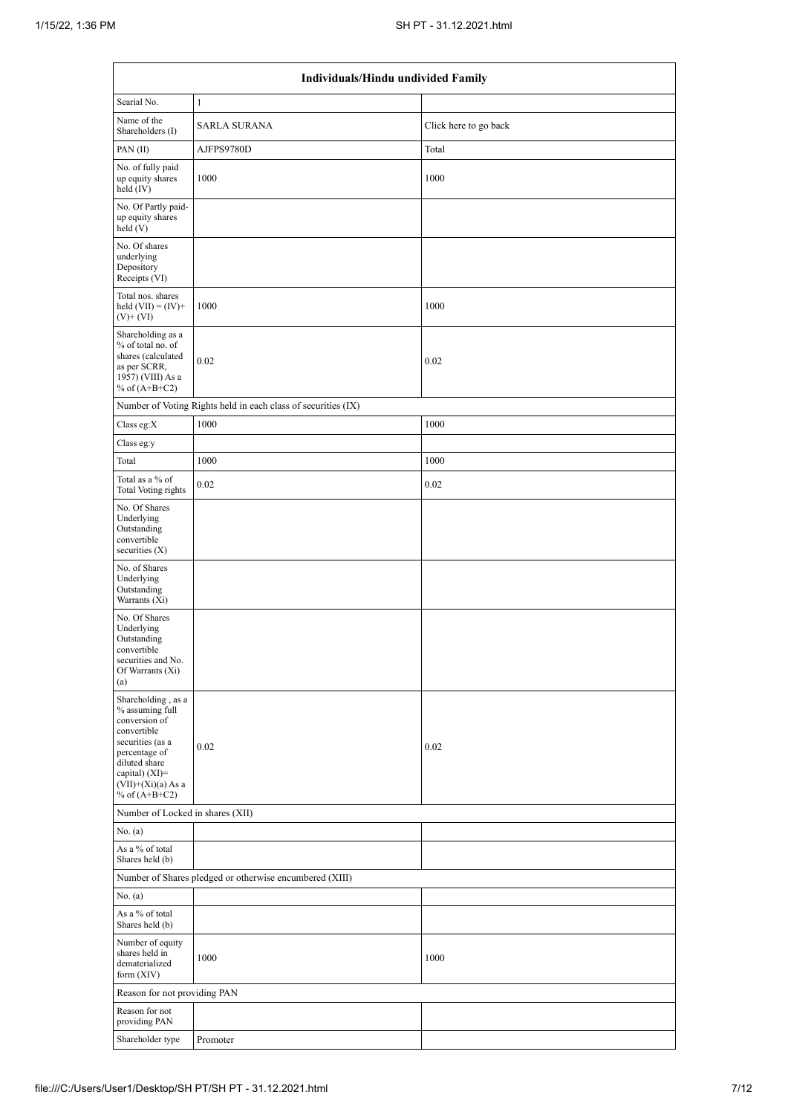|                                                                                                                                                                                          | Individuals/Hindu undivided Family                            |                       |
|------------------------------------------------------------------------------------------------------------------------------------------------------------------------------------------|---------------------------------------------------------------|-----------------------|
| Searial No.                                                                                                                                                                              | $\mathbf{1}$                                                  |                       |
| Name of the<br>Shareholders (I)                                                                                                                                                          | <b>SARLA SURANA</b>                                           | Click here to go back |
| PAN(II)                                                                                                                                                                                  | AJFPS9780D                                                    | Total                 |
| No. of fully paid<br>up equity shares<br>held (IV)                                                                                                                                       | 1000                                                          | 1000                  |
| No. Of Partly paid-<br>up equity shares<br>held(V)                                                                                                                                       |                                                               |                       |
| No. Of shares<br>underlying<br>Depository<br>Receipts (VI)                                                                                                                               |                                                               |                       |
| Total nos. shares<br>held $(VII) = (IV) +$<br>$(V)$ + $(VI)$                                                                                                                             | 1000                                                          | 1000                  |
| Shareholding as a<br>% of total no. of<br>shares (calculated<br>as per SCRR,<br>1957) (VIII) As a<br>% of $(A+B+C2)$                                                                     | 0.02                                                          | 0.02                  |
|                                                                                                                                                                                          | Number of Voting Rights held in each class of securities (IX) |                       |
| Class eg:X                                                                                                                                                                               | 1000                                                          | 1000                  |
| Class eg:y                                                                                                                                                                               |                                                               |                       |
| Total                                                                                                                                                                                    | 1000                                                          | 1000                  |
| Total as a % of<br><b>Total Voting rights</b>                                                                                                                                            | 0.02                                                          | 0.02                  |
| No. Of Shares<br>Underlying<br>Outstanding<br>convertible<br>securities $(X)$                                                                                                            |                                                               |                       |
| No. of Shares<br>Underlying<br>Outstanding<br>Warrants (Xi)                                                                                                                              |                                                               |                       |
| No. Of Shares<br>Underlying<br>Outstanding<br>convertible<br>securities and No.<br>Of Warrants (Xi)<br>(a)                                                                               |                                                               |                       |
| Shareholding, as a<br>% assuming full<br>conversion of<br>convertible<br>securities (as a<br>percentage of<br>diluted share<br>capital) (XI)=<br>$(VII)+(Xi)(a)$ As a<br>% of $(A+B+C2)$ | 0.02                                                          | 0.02                  |
| Number of Locked in shares (XII)                                                                                                                                                         |                                                               |                       |
| No. (a)                                                                                                                                                                                  |                                                               |                       |
| As a % of total<br>Shares held (b)                                                                                                                                                       |                                                               |                       |
|                                                                                                                                                                                          | Number of Shares pledged or otherwise encumbered (XIII)       |                       |
| No. (a)                                                                                                                                                                                  |                                                               |                       |
| As a % of total<br>Shares held (b)                                                                                                                                                       |                                                               |                       |
| Number of equity<br>shares held in<br>dematerialized<br>form (XIV)                                                                                                                       | 1000                                                          | 1000                  |
| Reason for not providing PAN                                                                                                                                                             |                                                               |                       |
| Reason for not<br>providing PAN                                                                                                                                                          |                                                               |                       |
| Shareholder type                                                                                                                                                                         | Promoter                                                      |                       |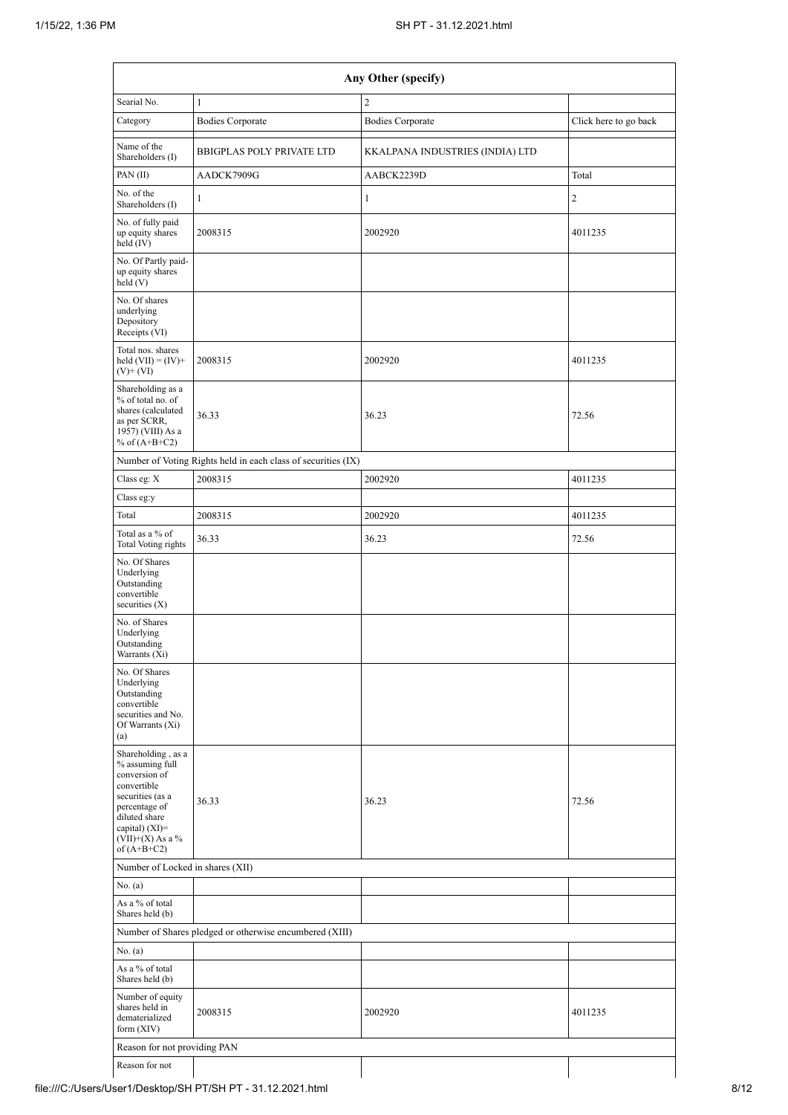|                                                                                                                                                                                        |                                                               | Any Other (specify)             |                       |  |  |  |  |  |  |
|----------------------------------------------------------------------------------------------------------------------------------------------------------------------------------------|---------------------------------------------------------------|---------------------------------|-----------------------|--|--|--|--|--|--|
| Searial No.                                                                                                                                                                            | 1                                                             | $\overline{c}$                  |                       |  |  |  |  |  |  |
| Category                                                                                                                                                                               | <b>Bodies Corporate</b>                                       | <b>Bodies Corporate</b>         | Click here to go back |  |  |  |  |  |  |
| Name of the<br>Shareholders (I)                                                                                                                                                        | <b>BBIGPLAS POLY PRIVATE LTD</b>                              | KKALPANA INDUSTRIES (INDIA) LTD |                       |  |  |  |  |  |  |
| PAN(II)                                                                                                                                                                                | AADCK7909G                                                    | AABCK2239D                      | Total                 |  |  |  |  |  |  |
| No. of the<br>Shareholders (I)                                                                                                                                                         | $\mathbf{1}$                                                  | $\mathbf{1}$                    | 2                     |  |  |  |  |  |  |
| No. of fully paid<br>up equity shares<br>held (IV)                                                                                                                                     | 2008315                                                       | 2002920                         | 4011235               |  |  |  |  |  |  |
| No. Of Partly paid-<br>up equity shares<br>$\text{held}$ (V)                                                                                                                           |                                                               |                                 |                       |  |  |  |  |  |  |
| No. Of shares<br>underlying<br>Depository<br>Receipts (VI)                                                                                                                             |                                                               |                                 |                       |  |  |  |  |  |  |
| Total nos. shares<br>held $(VII) = (IV) +$<br>$(V)$ + $(VI)$                                                                                                                           | 2008315                                                       | 2002920                         | 4011235               |  |  |  |  |  |  |
| Shareholding as a<br>% of total no. of<br>shares (calculated<br>as per SCRR,<br>1957) (VIII) As a<br>% of $(A+B+C2)$                                                                   | 36.33                                                         | 36.23                           | 72.56                 |  |  |  |  |  |  |
|                                                                                                                                                                                        | Number of Voting Rights held in each class of securities (IX) |                                 |                       |  |  |  |  |  |  |
| Class eg: X                                                                                                                                                                            | 2008315                                                       | 2002920                         | 4011235               |  |  |  |  |  |  |
| Class eg:y                                                                                                                                                                             |                                                               |                                 |                       |  |  |  |  |  |  |
| Total                                                                                                                                                                                  | 2008315                                                       | 2002920                         | 4011235               |  |  |  |  |  |  |
| Total as a % of<br>Total Voting rights                                                                                                                                                 | 36.33                                                         | 36.23                           | 72.56                 |  |  |  |  |  |  |
| No. Of Shares<br>Underlying<br>Outstanding<br>convertible<br>securities $(X)$                                                                                                          |                                                               |                                 |                       |  |  |  |  |  |  |
| No. of Shares<br>Underlying<br>Outstanding<br>Warrants (Xi)                                                                                                                            |                                                               |                                 |                       |  |  |  |  |  |  |
| No. Of Shares<br>Underlying<br>Outstanding<br>convertible<br>securities and No.<br>Of Warrants (Xi)<br>(a)                                                                             |                                                               |                                 |                       |  |  |  |  |  |  |
| Shareholding, as a<br>% assuming full<br>conversion of<br>convertible<br>securities (as a<br>percentage of<br>diluted share<br>capital) $(XI)=$<br>$(VII)+(X)$ As a %<br>of $(A+B+C2)$ | 36.33                                                         | 36.23                           | 72.56                 |  |  |  |  |  |  |
| Number of Locked in shares (XII)                                                                                                                                                       |                                                               |                                 |                       |  |  |  |  |  |  |
| No. (a)                                                                                                                                                                                |                                                               |                                 |                       |  |  |  |  |  |  |
| As a % of total<br>Shares held (b)                                                                                                                                                     |                                                               |                                 |                       |  |  |  |  |  |  |
|                                                                                                                                                                                        | Number of Shares pledged or otherwise encumbered (XIII)       |                                 |                       |  |  |  |  |  |  |
| No. (a)                                                                                                                                                                                |                                                               |                                 |                       |  |  |  |  |  |  |
| As a % of total<br>Shares held (b)                                                                                                                                                     |                                                               |                                 |                       |  |  |  |  |  |  |
| Number of equity<br>shares held in<br>dematerialized<br>form $(XIV)$                                                                                                                   | 2008315                                                       | 2002920                         | 4011235               |  |  |  |  |  |  |
| Reason for not providing PAN                                                                                                                                                           |                                                               |                                 |                       |  |  |  |  |  |  |
| Reason for not                                                                                                                                                                         |                                                               |                                 |                       |  |  |  |  |  |  |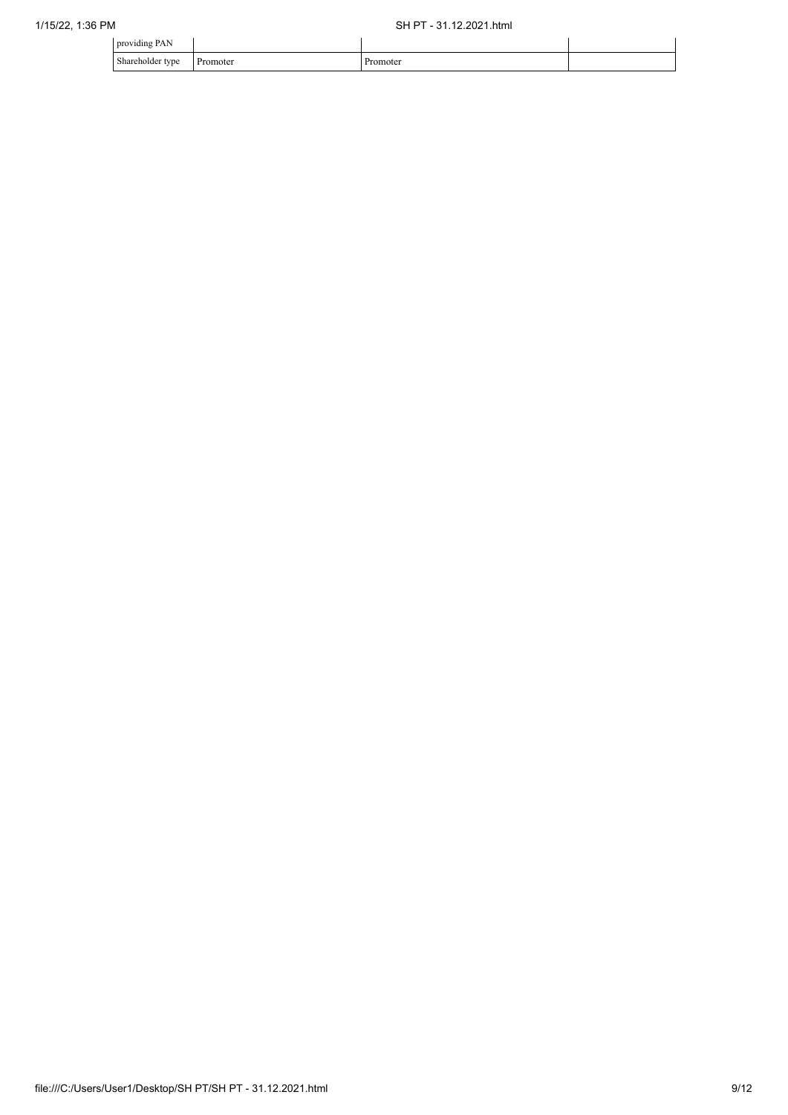| providing PAN    |          |          |  |
|------------------|----------|----------|--|
| Shareholder type | Promoter | Promoter |  |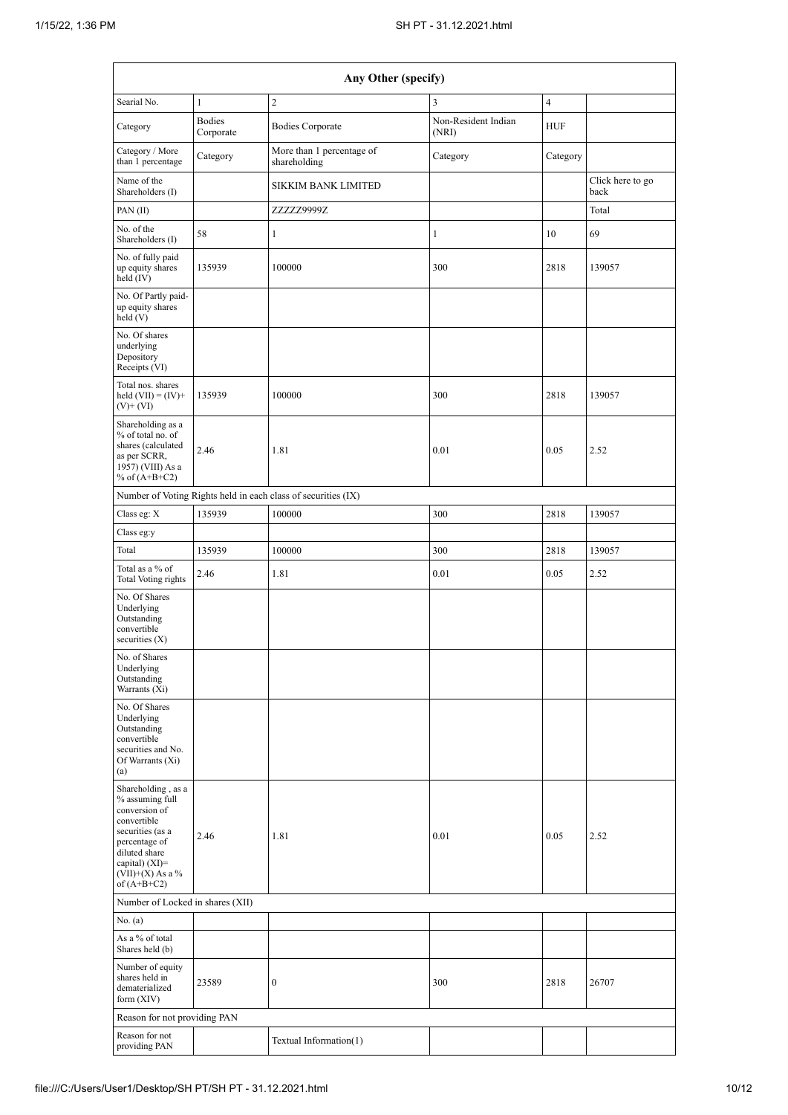|                                                                                                                                                                                      | Any Other (specify)        |                                                               |                              |                |                          |  |  |  |  |  |  |  |
|--------------------------------------------------------------------------------------------------------------------------------------------------------------------------------------|----------------------------|---------------------------------------------------------------|------------------------------|----------------|--------------------------|--|--|--|--|--|--|--|
| Searial No.                                                                                                                                                                          | $\mathbf{1}$               | $\overline{c}$                                                | 3                            | $\overline{4}$ |                          |  |  |  |  |  |  |  |
| Category                                                                                                                                                                             | <b>Bodies</b><br>Corporate | <b>Bodies Corporate</b>                                       | Non-Resident Indian<br>(NRI) | <b>HUF</b>     |                          |  |  |  |  |  |  |  |
| Category / More<br>than 1 percentage                                                                                                                                                 | Category                   | More than 1 percentage of<br>shareholding                     | Category                     | Category       |                          |  |  |  |  |  |  |  |
| Name of the<br>Shareholders (I)                                                                                                                                                      |                            | <b>SIKKIM BANK LIMITED</b>                                    |                              |                | Click here to go<br>back |  |  |  |  |  |  |  |
| PAN(II)                                                                                                                                                                              |                            | ZZZZZ9999Z                                                    |                              |                | Total                    |  |  |  |  |  |  |  |
| No. of the<br>Shareholders (I)                                                                                                                                                       | 58                         | 1                                                             | $\mathbf{1}$                 | 10             | 69                       |  |  |  |  |  |  |  |
| No. of fully paid<br>up equity shares<br>held $(IV)$                                                                                                                                 | 135939                     | 100000                                                        | 300                          | 2818           | 139057                   |  |  |  |  |  |  |  |
| No. Of Partly paid-<br>up equity shares<br>held (V)                                                                                                                                  |                            |                                                               |                              |                |                          |  |  |  |  |  |  |  |
| No. Of shares<br>underlying<br>Depository<br>Receipts (VI)                                                                                                                           |                            |                                                               |                              |                |                          |  |  |  |  |  |  |  |
| Total nos. shares<br>held $(VII) = (IV) +$<br>$(V)$ + $(VI)$                                                                                                                         | 135939                     | 100000                                                        | 300                          | 2818           | 139057                   |  |  |  |  |  |  |  |
| Shareholding as a<br>% of total no. of<br>shares (calculated<br>as per SCRR,<br>1957) (VIII) As a<br>% of $(A+B+C2)$                                                                 | 2.46                       | 1.81                                                          | 0.01                         | 0.05           | 2.52                     |  |  |  |  |  |  |  |
|                                                                                                                                                                                      |                            | Number of Voting Rights held in each class of securities (IX) |                              |                |                          |  |  |  |  |  |  |  |
| Class eg: $\mathbf X$                                                                                                                                                                | 135939                     | 100000                                                        | 300                          | 2818           | 139057                   |  |  |  |  |  |  |  |
| Class eg:y                                                                                                                                                                           |                            |                                                               |                              |                |                          |  |  |  |  |  |  |  |
| Total                                                                                                                                                                                | 135939                     | 100000                                                        | 300                          | 2818           | 139057                   |  |  |  |  |  |  |  |
| Total as a % of<br>Total Voting rights                                                                                                                                               | 2.46                       | 1.81                                                          | 0.01                         | 0.05           | 2.52                     |  |  |  |  |  |  |  |
| No. Of Shares<br>Underlying<br>Outstanding<br>convertible<br>securities $(X)$                                                                                                        |                            |                                                               |                              |                |                          |  |  |  |  |  |  |  |
| No. of Shares<br>Underlying<br>Outstanding<br>Warrants (Xi)                                                                                                                          |                            |                                                               |                              |                |                          |  |  |  |  |  |  |  |
| No. Of Shares<br>Underlying<br>Outstanding<br>convertible<br>securities and No.<br>Of Warrants (Xi)<br>(a)                                                                           |                            |                                                               |                              |                |                          |  |  |  |  |  |  |  |
| Shareholding, as a<br>% assuming full<br>conversion of<br>convertible<br>securities (as a<br>percentage of<br>diluted share<br>capital) (XI)=<br>$(VII)+(X)$ As a %<br>of $(A+B+C2)$ | 2.46                       | 1.81                                                          | 0.01                         | 0.05           | 2.52                     |  |  |  |  |  |  |  |
| Number of Locked in shares (XII)                                                                                                                                                     |                            |                                                               |                              |                |                          |  |  |  |  |  |  |  |
| No. (a)                                                                                                                                                                              |                            |                                                               |                              |                |                          |  |  |  |  |  |  |  |
| As a % of total<br>Shares held (b)                                                                                                                                                   |                            |                                                               |                              |                |                          |  |  |  |  |  |  |  |
| Number of equity<br>shares held in<br>dematerialized<br>form $(XIV)$                                                                                                                 | 23589                      | $\boldsymbol{0}$                                              | 300                          | 2818           | 26707                    |  |  |  |  |  |  |  |
| Reason for not providing PAN                                                                                                                                                         |                            |                                                               |                              |                |                          |  |  |  |  |  |  |  |
| Reason for not<br>providing PAN                                                                                                                                                      |                            | Textual Information(1)                                        |                              |                |                          |  |  |  |  |  |  |  |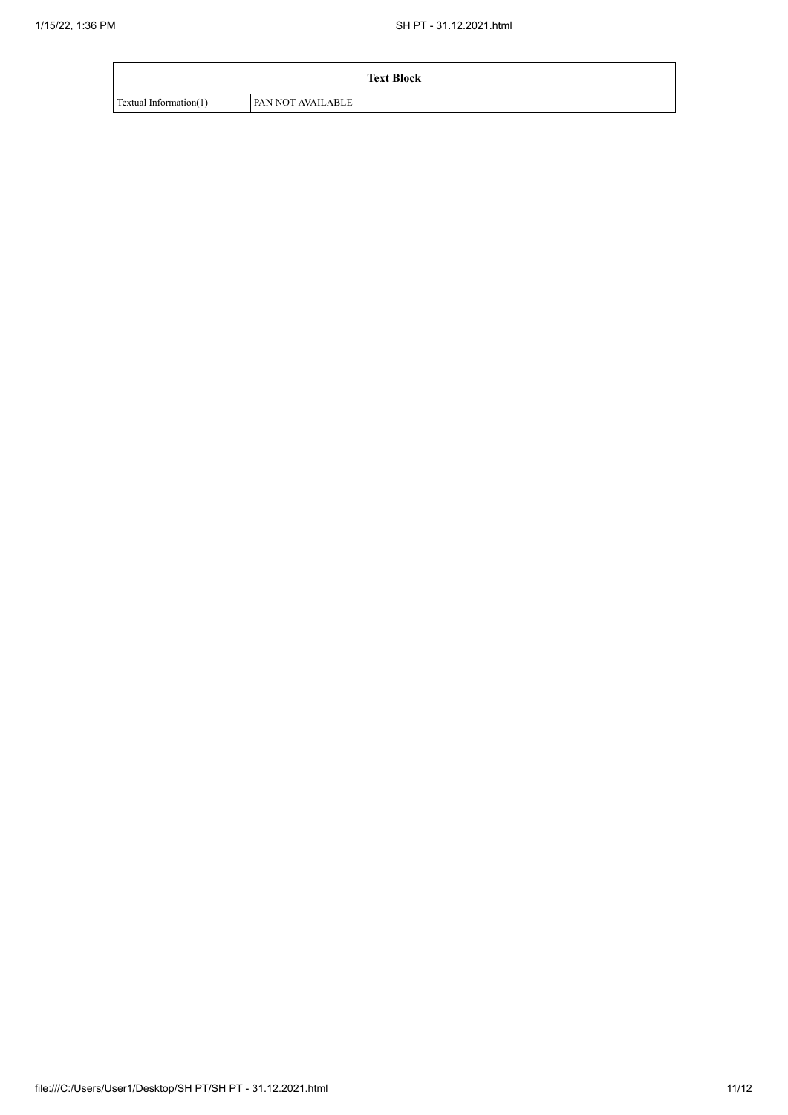|                        | <b>Text Block</b>        |
|------------------------|--------------------------|
| Textual Information(1) | <b>PAN NOT AVAILABLE</b> |